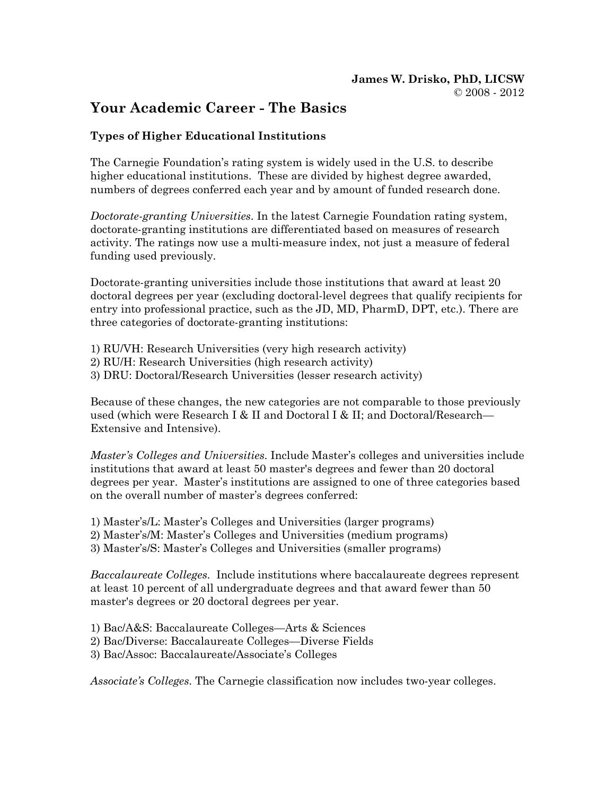# Your Academic Career - The Basics

# Types of Higher Educational Institutions

The Carnegie Foundation's rating system is widely used in the U.S. to describe higher educational institutions. These are divided by highest degree awarded, numbers of degrees conferred each year and by amount of funded research done.

Doctorate-granting Universities. In the latest Carnegie Foundation rating system, doctorate-granting institutions are differentiated based on measures of research activity. The ratings now use a multi-measure index, not just a measure of federal funding used previously.

Doctorate-granting universities include those institutions that award at least 20 doctoral degrees per year (excluding doctoral-level degrees that qualify recipients for entry into professional practice, such as the JD, MD, PharmD, DPT, etc.). There are three categories of doctorate-granting institutions:

- 1) RU/VH: Research Universities (very high research activity)
- 2) RU/H: Research Universities (high research activity)
- 3) DRU: Doctoral/Research Universities (lesser research activity)

Because of these changes, the new categories are not comparable to those previously used (which were Research I & II and Doctoral I & II; and Doctoral/Research— Extensive and Intensive).

Master's Colleges and Universities. Include Master's colleges and universities include institutions that award at least 50 master's degrees and fewer than 20 doctoral degrees per year. Master's institutions are assigned to one of three categories based on the overall number of master's degrees conferred:

- 1) Master's/L: Master's Colleges and Universities (larger programs)
- 2) Master's/M: Master's Colleges and Universities (medium programs)
- 3) Master's/S: Master's Colleges and Universities (smaller programs)

Baccalaureate Colleges. Include institutions where baccalaureate degrees represent at least 10 percent of all undergraduate degrees and that award fewer than 50 master's degrees or 20 doctoral degrees per year.

- 1) Bac/A&S: Baccalaureate Colleges—Arts & Sciences
- 2) Bac/Diverse: Baccalaureate Colleges—Diverse Fields
- 3) Bac/Assoc: Baccalaureate/Associate's Colleges

Associate's Colleges. The Carnegie classification now includes two-year colleges.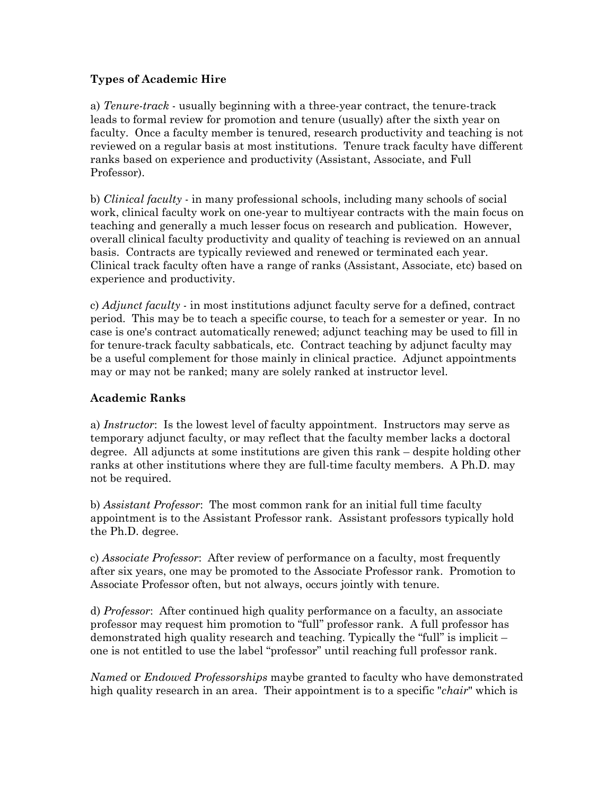## Types of Academic Hire

a) Tenure-track - usually beginning with a three-year contract, the tenure-track leads to formal review for promotion and tenure (usually) after the sixth year on faculty. Once a faculty member is tenured, research productivity and teaching is not reviewed on a regular basis at most institutions. Tenure track faculty have different ranks based on experience and productivity (Assistant, Associate, and Full Professor).

b) *Clinical faculty* - in many professional schools, including many schools of social work, clinical faculty work on one-year to multiyear contracts with the main focus on teaching and generally a much lesser focus on research and publication. However, overall clinical faculty productivity and quality of teaching is reviewed on an annual basis. Contracts are typically reviewed and renewed or terminated each year. Clinical track faculty often have a range of ranks (Assistant, Associate, etc) based on experience and productivity.

c) Adjunct faculty - in most institutions adjunct faculty serve for a defined, contract period. This may be to teach a specific course, to teach for a semester or year. In no case is one's contract automatically renewed; adjunct teaching may be used to fill in for tenure-track faculty sabbaticals, etc. Contract teaching by adjunct faculty may be a useful complement for those mainly in clinical practice. Adjunct appointments may or may not be ranked; many are solely ranked at instructor level.

## Academic Ranks

a) Instructor: Is the lowest level of faculty appointment. Instructors may serve as temporary adjunct faculty, or may reflect that the faculty member lacks a doctoral degree. All adjuncts at some institutions are given this rank – despite holding other ranks at other institutions where they are full-time faculty members. A Ph.D. may not be required.

b) Assistant Professor: The most common rank for an initial full time faculty appointment is to the Assistant Professor rank. Assistant professors typically hold the Ph.D. degree.

c) Associate Professor: After review of performance on a faculty, most frequently after six years, one may be promoted to the Associate Professor rank. Promotion to Associate Professor often, but not always, occurs jointly with tenure.

d) Professor: After continued high quality performance on a faculty, an associate professor may request him promotion to "full" professor rank. A full professor has demonstrated high quality research and teaching. Typically the "full" is implicit – one is not entitled to use the label "professor" until reaching full professor rank.

Named or *Endowed Professorships* maybe granted to faculty who have demonstrated high quality research in an area. Their appointment is to a specific "chair" which is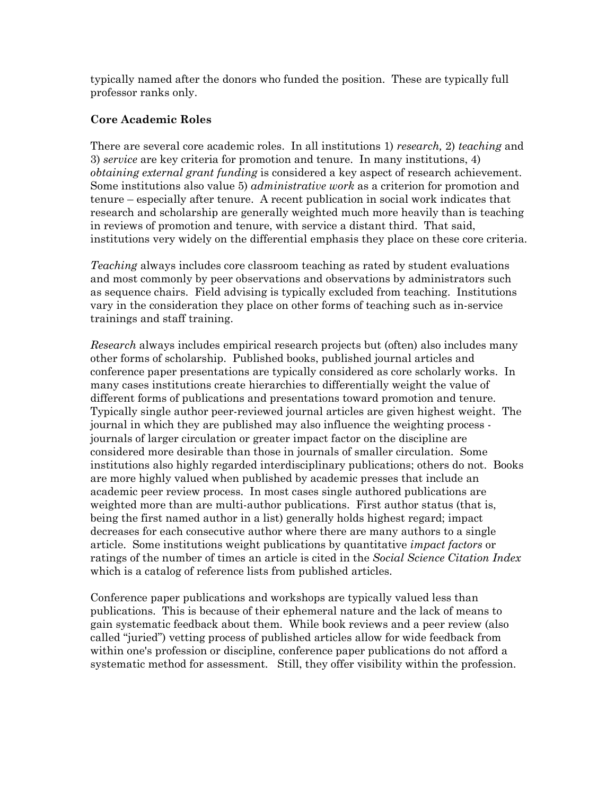typically named after the donors who funded the position. These are typically full professor ranks only.

# Core Academic Roles

There are several core academic roles. In all institutions 1) research, 2) teaching and 3) service are key criteria for promotion and tenure. In many institutions, 4) obtaining external grant funding is considered a key aspect of research achievement. Some institutions also value 5) *administrative work* as a criterion for promotion and tenure – especially after tenure. A recent publication in social work indicates that research and scholarship are generally weighted much more heavily than is teaching in reviews of promotion and tenure, with service a distant third. That said, institutions very widely on the differential emphasis they place on these core criteria.

Teaching always includes core classroom teaching as rated by student evaluations and most commonly by peer observations and observations by administrators such as sequence chairs. Field advising is typically excluded from teaching. Institutions vary in the consideration they place on other forms of teaching such as in-service trainings and staff training.

Research always includes empirical research projects but (often) also includes many other forms of scholarship. Published books, published journal articles and conference paper presentations are typically considered as core scholarly works. In many cases institutions create hierarchies to differentially weight the value of different forms of publications and presentations toward promotion and tenure. Typically single author peer-reviewed journal articles are given highest weight. The journal in which they are published may also influence the weighting process journals of larger circulation or greater impact factor on the discipline are considered more desirable than those in journals of smaller circulation. Some institutions also highly regarded interdisciplinary publications; others do not. Books are more highly valued when published by academic presses that include an academic peer review process. In most cases single authored publications are weighted more than are multi-author publications. First author status (that is, being the first named author in a list) generally holds highest regard; impact decreases for each consecutive author where there are many authors to a single article. Some institutions weight publications by quantitative impact factors or ratings of the number of times an article is cited in the Social Science Citation Index which is a catalog of reference lists from published articles.

Conference paper publications and workshops are typically valued less than publications. This is because of their ephemeral nature and the lack of means to gain systematic feedback about them. While book reviews and a peer review (also called "juried") vetting process of published articles allow for wide feedback from within one's profession or discipline, conference paper publications do not afford a systematic method for assessment. Still, they offer visibility within the profession.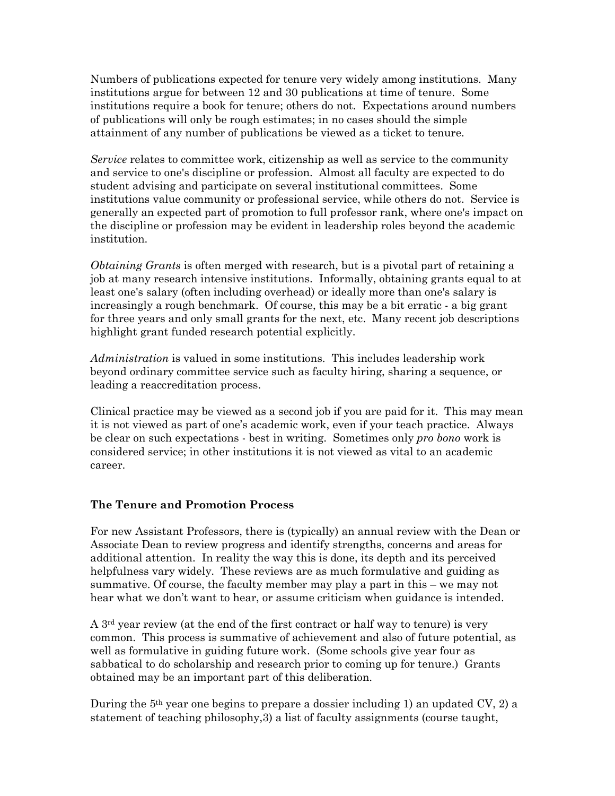Numbers of publications expected for tenure very widely among institutions. Many institutions argue for between 12 and 30 publications at time of tenure. Some institutions require a book for tenure; others do not. Expectations around numbers of publications will only be rough estimates; in no cases should the simple attainment of any number of publications be viewed as a ticket to tenure.

Service relates to committee work, citizenship as well as service to the community and service to one's discipline or profession. Almost all faculty are expected to do student advising and participate on several institutional committees. Some institutions value community or professional service, while others do not. Service is generally an expected part of promotion to full professor rank, where one's impact on the discipline or profession may be evident in leadership roles beyond the academic institution.

Obtaining Grants is often merged with research, but is a pivotal part of retaining a job at many research intensive institutions. Informally, obtaining grants equal to at least one's salary (often including overhead) or ideally more than one's salary is increasingly a rough benchmark. Of course, this may be a bit erratic - a big grant for three years and only small grants for the next, etc. Many recent job descriptions highlight grant funded research potential explicitly.

Administration is valued in some institutions. This includes leadership work beyond ordinary committee service such as faculty hiring, sharing a sequence, or leading a reaccreditation process.

Clinical practice may be viewed as a second job if you are paid for it. This may mean it is not viewed as part of one's academic work, even if your teach practice. Always be clear on such expectations - best in writing. Sometimes only pro bono work is considered service; in other institutions it is not viewed as vital to an academic career.

#### The Tenure and Promotion Process

For new Assistant Professors, there is (typically) an annual review with the Dean or Associate Dean to review progress and identify strengths, concerns and areas for additional attention. In reality the way this is done, its depth and its perceived helpfulness vary widely. These reviews are as much formulative and guiding as summative. Of course, the faculty member may play a part in this – we may not hear what we don't want to hear, or assume criticism when guidance is intended.

A 3rd year review (at the end of the first contract or half way to tenure) is very common. This process is summative of achievement and also of future potential, as well as formulative in guiding future work. (Some schools give year four as sabbatical to do scholarship and research prior to coming up for tenure.) Grants obtained may be an important part of this deliberation.

During the  $5<sup>th</sup>$  year one begins to prepare a dossier including 1) an updated CV, 2) a statement of teaching philosophy,3) a list of faculty assignments (course taught,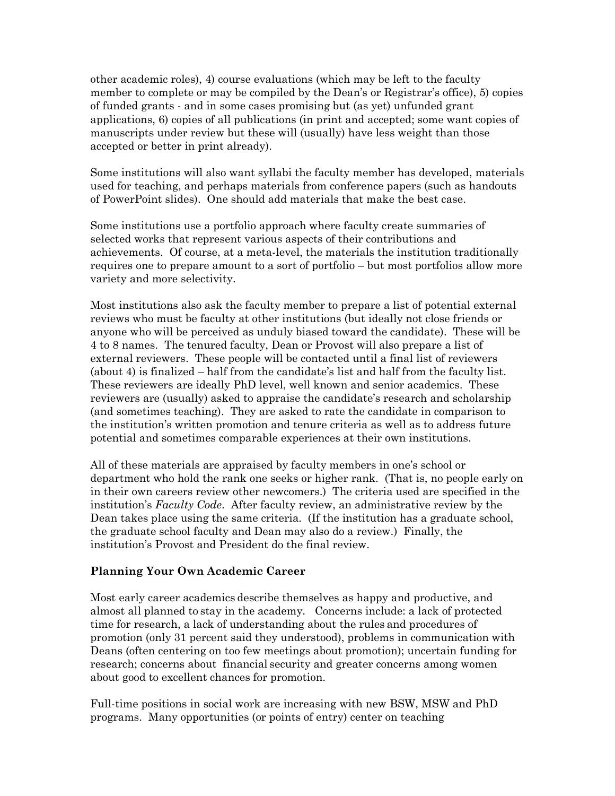other academic roles), 4) course evaluations (which may be left to the faculty member to complete or may be compiled by the Dean's or Registrar's office), 5) copies of funded grants - and in some cases promising but (as yet) unfunded grant applications, 6) copies of all publications (in print and accepted; some want copies of manuscripts under review but these will (usually) have less weight than those accepted or better in print already).

Some institutions will also want syllabi the faculty member has developed, materials used for teaching, and perhaps materials from conference papers (such as handouts of PowerPoint slides). One should add materials that make the best case.

Some institutions use a portfolio approach where faculty create summaries of selected works that represent various aspects of their contributions and achievements. Of course, at a meta-level, the materials the institution traditionally requires one to prepare amount to a sort of portfolio – but most portfolios allow more variety and more selectivity.

Most institutions also ask the faculty member to prepare a list of potential external reviews who must be faculty at other institutions (but ideally not close friends or anyone who will be perceived as unduly biased toward the candidate). These will be 4 to 8 names. The tenured faculty, Dean or Provost will also prepare a list of external reviewers. These people will be contacted until a final list of reviewers (about 4) is finalized – half from the candidate's list and half from the faculty list. These reviewers are ideally PhD level, well known and senior academics. These reviewers are (usually) asked to appraise the candidate's research and scholarship (and sometimes teaching). They are asked to rate the candidate in comparison to the institution's written promotion and tenure criteria as well as to address future potential and sometimes comparable experiences at their own institutions.

All of these materials are appraised by faculty members in one's school or department who hold the rank one seeks or higher rank. (That is, no people early on in their own careers review other newcomers.) The criteria used are specified in the institution's Faculty Code. After faculty review, an administrative review by the Dean takes place using the same criteria. (If the institution has a graduate school, the graduate school faculty and Dean may also do a review.) Finally, the institution's Provost and President do the final review.

## Planning Your Own Academic Career

Most early career academics describe themselves as happy and productive, and almost all planned to stay in the academy. Concerns include: a lack of protected time for research, a lack of understanding about the rules and procedures of promotion (only 31 percent said they understood), problems in communication with Deans (often centering on too few meetings about promotion); uncertain funding for research; concerns about financial security and greater concerns among women about good to excellent chances for promotion.

Full-time positions in social work are increasing with new BSW, MSW and PhD programs. Many opportunities (or points of entry) center on teaching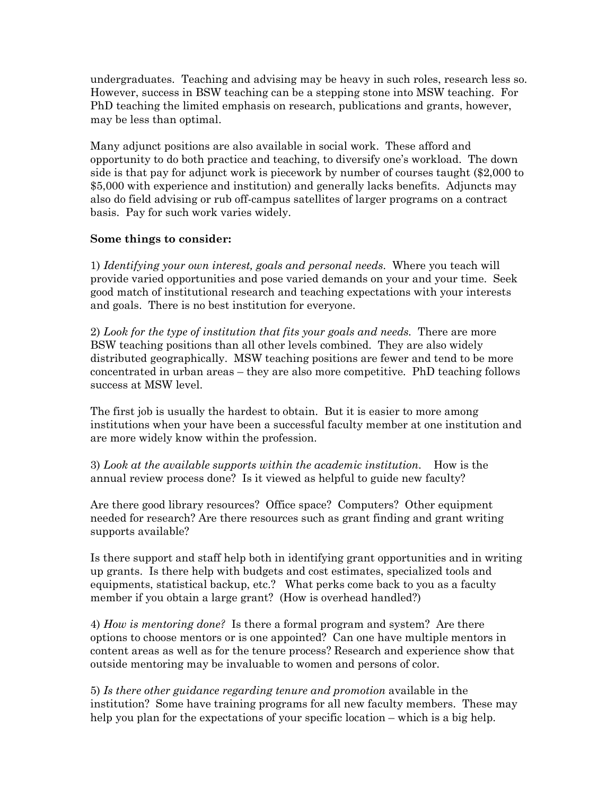undergraduates. Teaching and advising may be heavy in such roles, research less so. However, success in BSW teaching can be a stepping stone into MSW teaching. For PhD teaching the limited emphasis on research, publications and grants, however, may be less than optimal.

Many adjunct positions are also available in social work. These afford and opportunity to do both practice and teaching, to diversify one's workload. The down side is that pay for adjunct work is piecework by number of courses taught (\$2,000 to \$5,000 with experience and institution) and generally lacks benefits. Adjuncts may also do field advising or rub off-campus satellites of larger programs on a contract basis. Pay for such work varies widely.

## Some things to consider:

1) Identifying your own interest, goals and personal needs. Where you teach will provide varied opportunities and pose varied demands on your and your time. Seek good match of institutional research and teaching expectations with your interests and goals. There is no best institution for everyone.

2) Look for the type of institution that fits your goals and needs. There are more BSW teaching positions than all other levels combined. They are also widely distributed geographically. MSW teaching positions are fewer and tend to be more concentrated in urban areas – they are also more competitive. PhD teaching follows success at MSW level.

The first job is usually the hardest to obtain. But it is easier to more among institutions when your have been a successful faculty member at one institution and are more widely know within the profession.

3) Look at the available supports within the academic institution. How is the annual review process done? Is it viewed as helpful to guide new faculty?

Are there good library resources? Office space? Computers? Other equipment needed for research? Are there resources such as grant finding and grant writing supports available?

Is there support and staff help both in identifying grant opportunities and in writing up grants. Is there help with budgets and cost estimates, specialized tools and equipments, statistical backup, etc.? What perks come back to you as a faculty member if you obtain a large grant? (How is overhead handled?)

4) How is mentoring done? Is there a formal program and system? Are there options to choose mentors or is one appointed? Can one have multiple mentors in content areas as well as for the tenure process? Research and experience show that outside mentoring may be invaluable to women and persons of color.

5) Is there other guidance regarding tenure and promotion available in the institution? Some have training programs for all new faculty members. These may help you plan for the expectations of your specific location – which is a big help.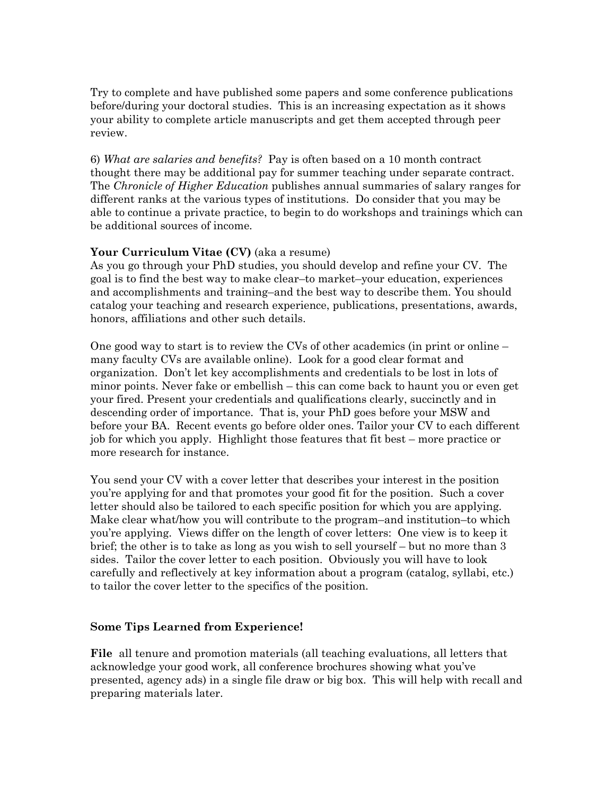Try to complete and have published some papers and some conference publications before/during your doctoral studies. This is an increasing expectation as it shows your ability to complete article manuscripts and get them accepted through peer review.

6) What are salaries and benefits? Pay is often based on a 10 month contract thought there may be additional pay for summer teaching under separate contract. The *Chronicle of Higher Education* publishes annual summaries of salary ranges for different ranks at the various types of institutions. Do consider that you may be able to continue a private practice, to begin to do workshops and trainings which can be additional sources of income.

## Your Curriculum Vitae (CV) (aka a resume)

As you go through your PhD studies, you should develop and refine your CV. The goal is to find the best way to make clear–to market–your education, experiences and accomplishments and training–and the best way to describe them. You should catalog your teaching and research experience, publications, presentations, awards, honors, affiliations and other such details.

One good way to start is to review the CVs of other academics (in print or online – many faculty CVs are available online). Look for a good clear format and organization. Don't let key accomplishments and credentials to be lost in lots of minor points. Never fake or embellish – this can come back to haunt you or even get your fired. Present your credentials and qualifications clearly, succinctly and in descending order of importance. That is, your PhD goes before your MSW and before your BA. Recent events go before older ones. Tailor your CV to each different job for which you apply. Highlight those features that fit best – more practice or more research for instance.

You send your CV with a cover letter that describes your interest in the position you're applying for and that promotes your good fit for the position. Such a cover letter should also be tailored to each specific position for which you are applying. Make clear what/how you will contribute to the program–and institution–to which you're applying. Views differ on the length of cover letters: One view is to keep it brief; the other is to take as long as you wish to sell yourself – but no more than 3 sides. Tailor the cover letter to each position. Obviously you will have to look carefully and reflectively at key information about a program (catalog, syllabi, etc.) to tailor the cover letter to the specifics of the position.

#### Some Tips Learned from Experience!

File all tenure and promotion materials (all teaching evaluations, all letters that acknowledge your good work, all conference brochures showing what you've presented, agency ads) in a single file draw or big box. This will help with recall and preparing materials later.